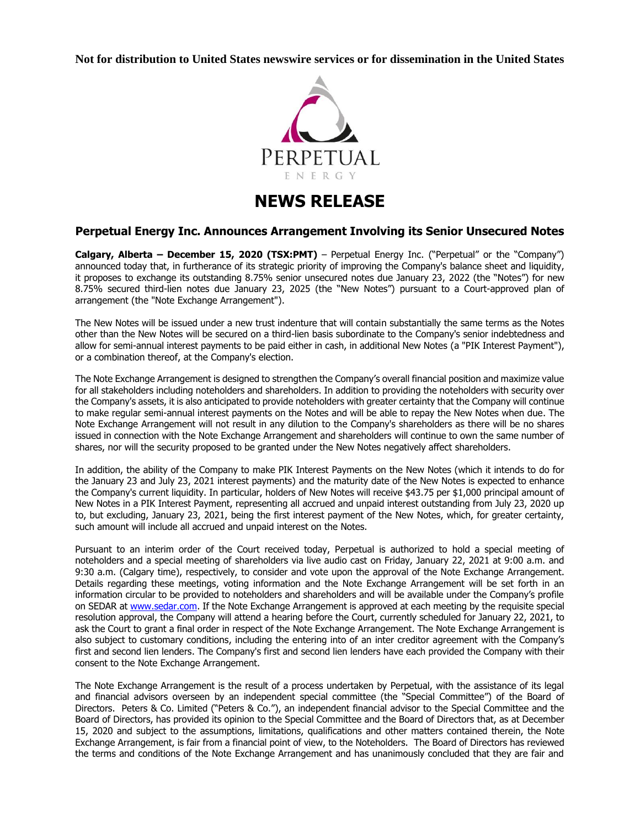**Not for distribution to United States newswire services or for dissemination in the United States**



# **NEWS RELEASE**

## **Perpetual Energy Inc. Announces Arrangement Involving its Senior Unsecured Notes**

**Calgary, Alberta – December 15, 2020 (TSX:PMT)** – Perpetual Energy Inc. ("Perpetual" or the "Company") announced today that, in furtherance of its strategic priority of improving the Company's balance sheet and liquidity, it proposes to exchange its outstanding 8.75% senior unsecured notes due January 23, 2022 (the "Notes") for new 8.75% secured third-lien notes due January 23, 2025 (the "New Notes") pursuant to a Court-approved plan of arrangement (the "Note Exchange Arrangement").

The New Notes will be issued under a new trust indenture that will contain substantially the same terms as the Notes other than the New Notes will be secured on a third-lien basis subordinate to the Company's senior indebtedness and allow for semi-annual interest payments to be paid either in cash, in additional New Notes (a "PIK Interest Payment"), or a combination thereof, at the Company's election.

The Note Exchange Arrangement is designed to strengthen the Company's overall financial position and maximize value for all stakeholders including noteholders and shareholders. In addition to providing the noteholders with security over the Company's assets, it is also anticipated to provide noteholders with greater certainty that the Company will continue to make regular semi-annual interest payments on the Notes and will be able to repay the New Notes when due. The Note Exchange Arrangement will not result in any dilution to the Company's shareholders as there will be no shares issued in connection with the Note Exchange Arrangement and shareholders will continue to own the same number of shares, nor will the security proposed to be granted under the New Notes negatively affect shareholders.

In addition, the ability of the Company to make PIK Interest Payments on the New Notes (which it intends to do for the January 23 and July 23, 2021 interest payments) and the maturity date of the New Notes is expected to enhance the Company's current liquidity. In particular, holders of New Notes will receive \$43.75 per \$1,000 principal amount of New Notes in a PIK Interest Payment, representing all accrued and unpaid interest outstanding from July 23, 2020 up to, but excluding, January 23, 2021, being the first interest payment of the New Notes, which, for greater certainty, such amount will include all accrued and unpaid interest on the Notes.

Pursuant to an interim order of the Court received today, Perpetual is authorized to hold a special meeting of noteholders and a special meeting of shareholders via live audio cast on Friday, January 22, 2021 at 9:00 a.m. and 9:30 a.m. (Calgary time), respectively, to consider and vote upon the approval of the Note Exchange Arrangement. Details regarding these meetings, voting information and the Note Exchange Arrangement will be set forth in an information circular to be provided to noteholders and shareholders and will be available under the Company's profile on SEDAR a[t www.sedar.com.](http://www.sedar.com/) If the Note Exchange Arrangement is approved at each meeting by the requisite special resolution approval, the Company will attend a hearing before the Court, currently scheduled for January 22, 2021, to ask the Court to grant a final order in respect of the Note Exchange Arrangement. The Note Exchange Arrangement is also subject to customary conditions, including the entering into of an inter creditor agreement with the Company's first and second lien lenders. The Company's first and second lien lenders have each provided the Company with their consent to the Note Exchange Arrangement.

The Note Exchange Arrangement is the result of a process undertaken by Perpetual, with the assistance of its legal and financial advisors overseen by an independent special committee (the "Special Committee") of the Board of Directors. Peters & Co. Limited ("Peters & Co."), an independent financial advisor to the Special Committee and the Board of Directors, has provided its opinion to the Special Committee and the Board of Directors that, as at December 15, 2020 and subject to the assumptions, limitations, qualifications and other matters contained therein, the Note Exchange Arrangement, is fair from a financial point of view, to the Noteholders. The Board of Directors has reviewed the terms and conditions of the Note Exchange Arrangement and has unanimously concluded that they are fair and